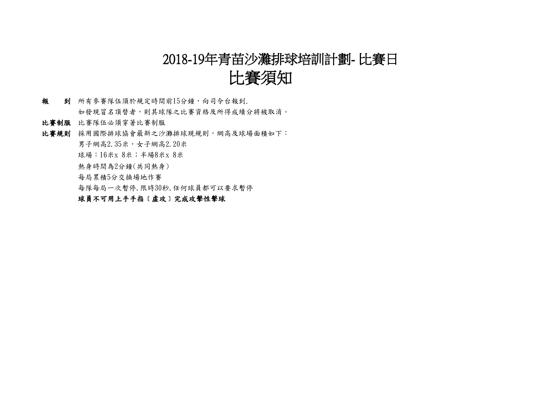# 2018-19年青苗沙灘排球培訓計劃- 比賽日

# 比賽須知

- 報 到 所有參賽隊伍須於規定時間前15分鐘,向司令台報到. 如發現冒名頂替者,則其球隊之比賽資格及所得成績分將被取消。
- 比賽制服 比賽隊伍必須穿著比賽制服
- 比賽規則 採用國際排球協會最新之沙灘排球現規則,網高及球場面積如下:
	- 男子網高2.35米,女子網高2.20米
	- 球場: 16米x 8米; 半場8米x 8米
	- 熱身時間為2分鐘(共同熱身)
	- 每局累積5分交換場地作賽
	- 每隊每局一次暫停,限時30秒,任何球員都可以要求暫停

#### 球員不可用上手手指〔虛攻〕完成攻擊性擊球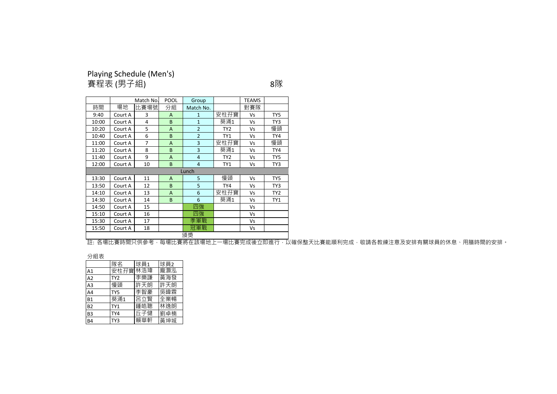#### Playing Schedule (Men's) 賽程表 (男子組) 8隊

|       |         | Match No.      | POOL | Group          |                 | <b>TEAMS</b> |                 |  |  |
|-------|---------|----------------|------|----------------|-----------------|--------------|-----------------|--|--|
| 時間    | 場地      | 比賽場號           | 分組   | Match No.      |                 | 對賽隊          |                 |  |  |
| 9:40  | Court A | 3              | A    | $\mathbf{1}$   | 安柱孖寶            | Vs           | TY5             |  |  |
| 10:00 | Court A | $\overline{4}$ | B    | $\mathbf{1}$   | 葵涌1             | Vs           | TY3             |  |  |
| 10:20 | Court A | 5              | A    | $\overline{2}$ | TY <sub>2</sub> | Vs           | 慢頭              |  |  |
| 10:40 | Court A | 6              | B    | $\overline{2}$ | TY1             | Vs           | TY4             |  |  |
| 11:00 | Court A | 7              | A    | 3              | 安柱孖寶            | Vs           | 慢頭              |  |  |
| 11:20 | Court A | 8              | B    | 3              | 葵涌1             | Vs           | TY4             |  |  |
| 11:40 | Court A | 9              | A    | $\overline{4}$ | TY <sub>2</sub> | Vs           | TY5             |  |  |
| 12:00 | Court A | 10             | B    | $\overline{4}$ | TY1             | Vs           | TY3             |  |  |
|       |         |                |      | Lunch          |                 |              |                 |  |  |
| 13:30 | Court A | 11             | A    | 5              | 慢頭              | Vs           | TY5             |  |  |
| 13:50 | Court A | 12             | B    | 5              | TY4             | Vs           | TY3             |  |  |
| 14:10 | Court A | 13             | A    | 6              | 安柱孖寶            | Vs           | TY <sub>2</sub> |  |  |
| 14:30 | Court A | 14             | B    | 6              | 葵涌1             | Vs           | TY1             |  |  |
| 14:50 | Court A | 15             |      | 四強             |                 | Vs           |                 |  |  |
| 15:10 | Court A | 16             |      | 四強             |                 | Vs           |                 |  |  |
| 15:30 | Court A | 17             |      | 季軍戰            |                 | Vs           |                 |  |  |
| 15:50 | Court A | 18             |      | 冠軍戰            |                 | Vs           |                 |  |  |
| 頒獎    |         |                |      |                |                 |              |                 |  |  |

註: 各場比賽時間只供參考,每場比賽將在該場地上一場比賽完成後立即進行,以確保整天比賽能順利完成,敬請各教練注意及安排有關球員的休息、用膳時間的安排<mark>。</mark>

分組表

|                 | 隊名              | 球員1 | 球員2 |
|-----------------|-----------------|-----|-----|
| A1              | 安柱孖寶            | 林浩瑋 | 龐灝泓 |
| $\overline{A2}$ | TY <sub>2</sub> | 李樂謙 | 黃海發 |
| A <sub>3</sub>  | 慢頭              | 許天朗 | 許天朗 |
| A <sub>4</sub>  | TY5             | 李智豪 | 吳暐霖 |
| B <sub>1</sub>  | 葵涌1             | 呂立賢 | 全業暢 |
| B <sub>2</sub>  | TY1             | 鍾皓聰 | 林逸朗 |
| B <sub>3</sub>  | TY4             | 斤子健 | 劉卓楠 |
| <b>B4</b>       | TY3             | 賴華軒 | 黃坤城 |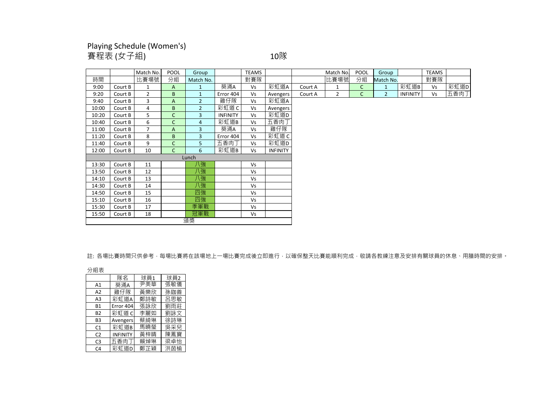### Playing Schedule (Women's) 賽程表 (女子組) 10隊

|       |         | Match No.      | <b>POOL</b>    | Group          |                 | <b>TEAMS</b> |                 |         | Match No.      | POOL         | Group          |                 | <b>TEAMS</b> |      |
|-------|---------|----------------|----------------|----------------|-----------------|--------------|-----------------|---------|----------------|--------------|----------------|-----------------|--------------|------|
| 時間    |         | 比賽場號           | 分組             | Match No.      |                 | 對賽隊          |                 |         | 比賽場號           | 分組           | Match No.      |                 | 對賽隊          |      |
| 9:00  | Court B | $\mathbf{1}$   | A              | $\mathbf{1}$   | 葵涌A             | <b>Vs</b>    | 彩虹道A            | Court A | $\mathbf{1}$   | $\mathsf{C}$ | $\mathbf{1}$   | 彩虹道B            | Vs           | 彩虹道D |
| 9:20  | Court B | $\overline{2}$ | B              | $\mathbf{1}$   | Error 404       | Vs           | Avengers        | Court A | $\overline{2}$ | C            | $\overline{2}$ | <b>INFINITY</b> | Vs           | 五香肉丁 |
| 9:40  | Court B | 3              | $\overline{A}$ | $\overline{2}$ | 雞仔隊             | <b>Vs</b>    | 彩虹道A            |         |                |              |                |                 |              |      |
| 10:00 | Court B | 4              | B              | $\overline{2}$ | 彩虹道C            | Vs           | Avengers        |         |                |              |                |                 |              |      |
| 10:20 | Court B | 5              | $\mathsf{C}$   | 3              | <b>INFINITY</b> | Vs           | 彩虹道D            |         |                |              |                |                 |              |      |
| 10:40 | Court B | 6              | $\mathsf{C}$   | 4              | 彩虹道B            | <b>Vs</b>    | 五香肉丁            |         |                |              |                |                 |              |      |
| 11:00 | Court B | 7              | A              | 3              | 葵涌A             | Vs           | 雞仔隊             |         |                |              |                |                 |              |      |
| 11:20 | Court B | 8              | B              | 3              | Error 404       | <b>Vs</b>    | 彩虹道C            |         |                |              |                |                 |              |      |
| 11:40 | Court B | 9              | $\mathsf{C}$   | 5              | 五香肉丁            | Vs           | 彩虹道D            |         |                |              |                |                 |              |      |
| 12:00 | Court B | 10             | C              | 6              | 彩虹道B            | <b>Vs</b>    | <b>INFINITY</b> |         |                |              |                |                 |              |      |
|       |         |                |                | Lunch          |                 |              |                 |         |                |              |                |                 |              |      |
| 13:30 | Court B | 11             |                | 飞              |                 | Vs           |                 |         |                |              |                |                 |              |      |
| 13:50 | Court B | 12             |                | 八強             |                 | <b>Vs</b>    |                 |         |                |              |                |                 |              |      |
| 14:10 | Court B | 13             |                | 八強             |                 | Vs           |                 |         |                |              |                |                 |              |      |
| 14:30 | Court B | 14             |                | 八強             |                 | Vs           |                 |         |                |              |                |                 |              |      |
| 14:50 | Court B | 15             |                | 四強             |                 | Vs           |                 |         |                |              |                |                 |              |      |
| 15:10 | Court B | 16             |                | 四強             |                 | <b>Vs</b>    |                 |         |                |              |                |                 |              |      |
| 15:30 | Court B | 17             |                | 季軍戰            |                 | Vs           |                 |         |                |              |                |                 |              |      |
| 15:50 | Court B | 18             |                | 冠軍戰            |                 | Vs           |                 |         |                |              |                |                 |              |      |
|       |         |                |                | 頒獎             |                 |              |                 |         |                |              |                |                 |              |      |

註: 各場比賽時間只供參考,每場比賽將在該場地上一場比賽完成後立即進行,以確保整天比賽能順利完成,敬請各教練注意及安排有關球員的休息、用膳時間的安排。

分組表

|                | 隊名              | 球員1 | 球員2 |
|----------------|-----------------|-----|-----|
| A1             | 葵涌A             | 尹美華 | 張敏儀 |
| A2             | 雞仔隊             | 黃樂欣 | 孫鉫善 |
| A3             | 彩虹道A            | 鄭詩敏 | 呂思敏 |
| <b>B1</b>      | Error 404       | 張詠欣 | 劉雨莊 |
| <b>B2</b>      | 彩虹道 C           | 李麗如 | 劉詠文 |
| B3             | Avengers        | 蔡綺琳 | 徐詩琳 |
| C1             | 彩虹道B            | 馬曉瑩 | 吳采兒 |
| C <sub>2</sub> | <b>INFINITY</b> | 黃梓晴 | 陳鳳寶 |
| C <sub>3</sub> | 五香肉丁            | 賴焯琳 | 梁卓怡 |
| C4             | 彩虾道D            | 鄭芷穎 | 洪茵榆 |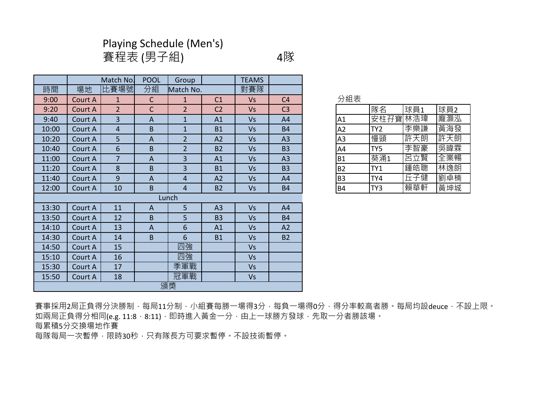# Playing Schedule (Men's)

賽程表 (男子組) 4隊

|       |         | Match No.      | <b>POOL</b>    | Group          |                | <b>TEAMS</b> |                |           |                 |     |     |
|-------|---------|----------------|----------------|----------------|----------------|--------------|----------------|-----------|-----------------|-----|-----|
| 時間    | 場地      | 比賽場號           | 分組             | Match No.      |                | 對賽隊          |                |           |                 |     |     |
| 9:00  | Court A | $\mathbf{1}$   | $\mathsf{C}$   | $\mathbf{1}$   | C <sub>1</sub> | <b>Vs</b>    | C <sub>4</sub> | 分組表       |                 |     |     |
| 9:20  | Court A | $\overline{2}$ | $\mathsf{C}$   | $\overline{2}$ | C <sub>2</sub> | <b>Vs</b>    | C <sub>3</sub> |           | 隊名              | 球員1 | 球員2 |
| 9:40  | Court A | 3              | A              | $\mathbf{1}$   | A1             | <b>Vs</b>    | A4             | A1        | 安柱孖寶            | 林浩瑋 | 龐灝泓 |
| 10:00 | Court A | $\overline{4}$ | B              | $\mathbf{1}$   | <b>B1</b>      | <b>Vs</b>    | <b>B4</b>      | A2        | TY <sub>2</sub> | 李樂謙 | 黃海發 |
| 10:20 | Court A | 5              | $\overline{A}$ | $\overline{2}$ | A2             | <b>Vs</b>    | A3             | A3        | 慢頭              | 許天朗 | 許天朗 |
| 10:40 | Court A | 6              | B              | $\overline{2}$ | <b>B2</b>      | <b>Vs</b>    | <b>B3</b>      | A4        | TY5             | 李智豪 | 吳暐霖 |
| 11:00 | Court A | $\overline{7}$ | A              | $\overline{3}$ | A1             | <b>Vs</b>    | A <sub>3</sub> | <b>B1</b> | 葵涌1             | 呂立賢 | 全業暢 |
| 11:20 | Court A | 8              | B              | 3              | <b>B1</b>      | <b>Vs</b>    | B <sub>3</sub> | <b>B2</b> | TY1             | 鍾皓聰 | 林逸朗 |
| 11:40 | Court A | 9              | A              | 4              | A2             | <b>Vs</b>    | A4             | <b>B3</b> | TY4             | 丘子健 | 劉卓楠 |
| 12:00 | Court A | 10             | B              | 4              | <b>B2</b>      | <b>Vs</b>    | <b>B4</b>      | <b>B4</b> | TY3             | 賴華軒 | 黃坤城 |
|       |         |                |                | Lunch          |                |              |                |           |                 |     |     |
| 13:30 | Court A | 11             | A              | 5              | A3             | <b>Vs</b>    | A4             |           |                 |     |     |
| 13:50 | Court A | 12             | B              | 5              | <b>B3</b>      | <b>Vs</b>    | <b>B4</b>      |           |                 |     |     |
| 14:10 | Court A | 13             | $\overline{A}$ | 6              | A1             | <b>Vs</b>    | A2             |           |                 |     |     |
| 14:30 | Court A | 14             | B              | 6              | <b>B1</b>      | <b>Vs</b>    | <b>B2</b>      |           |                 |     |     |
| 14:50 | Court A | 15             |                | 四強             |                | <b>Vs</b>    |                |           |                 |     |     |
| 15:10 | Court A | 16             |                | 四強             |                | <b>Vs</b>    |                |           |                 |     |     |
| 15:30 | Court A | 17             |                | 季軍戰            |                | <b>Vs</b>    |                |           |                 |     |     |
| 15:50 | Court A | 18             |                | 冠軍戰            |                | <b>Vs</b>    |                |           |                 |     |     |
|       |         |                |                | 頒獎             |                |              |                |           |                 |     |     |

| 隊名              | 球員1 | 球員2     |
|-----------------|-----|---------|
|                 |     | 龐灝泓     |
| TY <sub>2</sub> | 李樂謙 | 黃海發     |
| 慢頭              | 許天朗 | 許天朗     |
| TY5             | 李智豪 | 吳暐霖     |
| 葵涌1             | 呂立賢 | 全業暢     |
| TY1             | 鍾皓聰 | 林逸朗     |
| TY4             | 丘子健 | 劉卓楠     |
| TY3             | 賴華軒 | 黃坤城     |
|                 |     | 安柱孖寶林浩瑋 |

賽事採用2局正負得分決勝制,每局11分制,小組賽每勝一場得3分,每負一場得0分,得分率較高者勝。每局均設deuce,不設上限。 如兩局正負得分相同(e.g. 11:8, 8:11), 即時進入黃金一分, 由上一球勝方發球, 先取一分者勝該場。 每累積5分交換場地作賽

每隊每局一次暫停,限時30秒,只有隊長方可要求暫停。不設技術暫停。